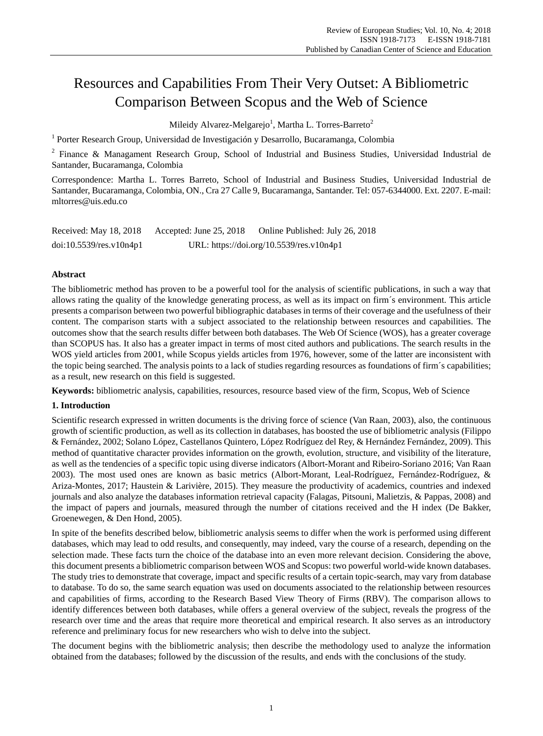# Resources and Capabilities From Their Very Outset: A Bibliometric Comparison Between Scopus and the Web of Science

Mileidy Alvarez-Melgarejo $^{\rm l}$ , Martha L. Torres-Barreto $^{\rm 2}$ 

<sup>1</sup> Porter Research Group, Universidad de Investigación y Desarrollo, Bucaramanga, Colombia

 $2$  Finance & Managament Research Group, School of Industrial and Business Studies, Universidad Industrial de Santander, Bucaramanga, Colombia

Correspondence: Martha L. Torres Barreto, School of Industrial and Business Studies, Universidad Industrial de Santander, Bucaramanga, Colombia, ON., Cra 27 Calle 9, Bucaramanga, Santander. Tel: 057-6344000. Ext. 2207. E-mail: mltorres@uis.edu.co

| Received: May 18, 2018     | Accepted: June $25, 2018$ | Online Published: July 26, 2018          |
|----------------------------|---------------------------|------------------------------------------|
| $doi:10.5539$ /res.v10n4p1 |                           | URL: https://doi.org/10.5539/res.v10n4p1 |

## **Abstract**

The bibliometric method has proven to be a powerful tool for the analysis of scientific publications, in such a way that allows rating the quality of the knowledge generating process, as well as its impact on firm´s environment. This article presents a comparison between two powerful bibliographic databases in terms of their coverage and the usefulness of their content. The comparison starts with a subject associated to the relationship between resources and capabilities. The outcomes show that the search results differ between both databases. The Web Of Science (WOS), has a greater coverage than SCOPUS has. It also has a greater impact in terms of most cited authors and publications. The search results in the WOS yield articles from 2001, while Scopus yields articles from 1976, however, some of the latter are inconsistent with the topic being searched. The analysis points to a lack of studies regarding resources as foundations of firm  $\acute{\text{s}}$  capabilities; as a result, new research on this field is suggested.

**Keywords:** bibliometric analysis, capabilities, resources, resource based view of the firm, Scopus, Web of Science

## **1. Introduction**

Scientific research expressed in written documents is the driving force of science (Van Raan, 2003), also, the continuous growth of scientific production, as well as its collection in databases, has boosted the use of bibliometric analysis (Filippo & Fern ández, 2002; Solano López, Castellanos Quintero, López Rodr guez del Rey, & Hernández Fernández, 2009). This method of quantitative character provides information on the growth, evolution, structure, and visibility of the literature, as well as the tendencies of a specific topic using diverse indicators (Albort-Morant and Ribeiro-Soriano 2016; Van Raan 2003). The most used ones are known as basic metrics (Albort-Morant, Leal-Rodr guez, Fernández-Rodr guez, & Ariza-Montes, 2017; Haustein & Larivière, 2015). They measure the productivity of academics, countries and indexed journals and also analyze the databases information retrieval capacity (Falagas, Pitsouni, Malietzis, & Pappas, 2008) and the impact of papers and journals, measured through the number of citations received and the H index (De Bakker, Groenewegen, & Den Hond, 2005).

In spite of the benefits described below, bibliometric analysis seems to differ when the work is performed using different databases, which may lead to odd results, and consequently, may indeed, vary the course of a research, depending on the selection made. These facts turn the choice of the database into an even more relevant decision. Considering the above, this document presents a bibliometric comparison between WOS and Scopus: two powerful world-wide known databases. The study tries to demonstrate that coverage, impact and specific results of a certain topic-search, may vary from database to database. To do so, the same search equation was used on documents associated to the relationship between resources and capabilities of firms, according to the Research Based View Theory of Firms (RBV). The comparison allows to identify differences between both databases, while offers a general overview of the subject, reveals the progress of the research over time and the areas that require more theoretical and empirical research. It also serves as an introductory reference and preliminary focus for new researchers who wish to delve into the subject.

The document begins with the bibliometric analysis; then describe the methodology used to analyze the information obtained from the databases; followed by the discussion of the results, and ends with the conclusions of the study.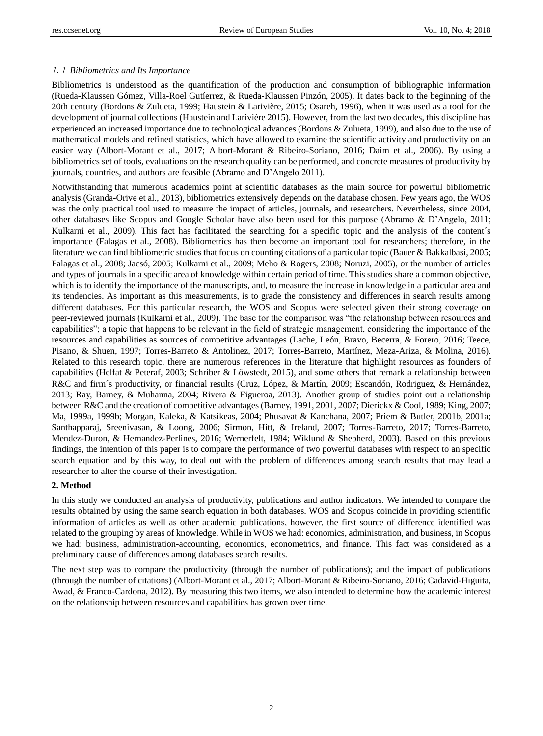#### 1.1 *Bibliometrics and Its Importance*

Bibliometrics is understood as the quantification of the production and consumption of bibliographic information (Rueda-Klaussen Gómez, Villa-Roel Gut érrez, & Rueda-Klaussen Pinzón, 2005). It dates back to the beginning of the 20th century (Bordons & Zulueta, 1999; Haustein & Larivière, 2015; Osareh, 1996), when it was used as a tool for the development of journal collections (Haustein and Larivière 2015). However, from the last two decades, this discipline has experienced an increased importance due to technological advances (Bordons & Zulueta, 1999), and also due to the use of mathematical models and refined statistics, which have allowed to examine the scientific activity and productivity on an easier way (Albort-Morant et al., 2017; Albort-Morant & Ribeiro-Soriano, 2016; Daim et al., 2006). By using a bibliometrics set of tools, evaluations on the research quality can be performed, and concrete measures of productivity by journals, countries, and authors are feasible (Abramo and D'Angelo 2011).

Notwithstanding that numerous academics point at scientific databases as the main source for powerful bibliometric analysis (Granda-Orive et al., 2013), bibliometrics extensively depends on the database chosen. Few years ago, the WOS was the only practical tool used to measure the impact of articles, journals, and researchers. Nevertheless, since 2004, other databases like Scopus and Google Scholar have also been used for this purpose (Abramo & D'Angelo, 2011; Kulkarni et al., 2009). This fact has facilitated the searching for a specific topic and the analysis of the content  $\hat{s}$ importance (Falagas et al., 2008). Bibliometrics has then become an important tool for researchers; therefore, in the literature we can find bibliometric studies that focus on counting citations of a particular topic (Bauer & Bakkalbasi, 2005; Falagas et al., 2008; Jacsó, 2005; Kulkarni et al., 2009; Meho & Rogers, 2008; Noruzi, 2005), or the number of articles and types of journals in a specific area of knowledge within certain period of time. This studies share a common objective, which is to identify the importance of the manuscripts, and, to measure the increase in knowledge in a particular area and its tendencies. As important as this measurements, is to grade the consistency and differences in search results among different databases. For this particular research, the WOS and Scopus were selected given their strong coverage on peer-reviewed journals (Kulkarni et al., 2009). The base for the comparison was "the relationship between resources and capabilities"; a topic that happens to be relevant in the field of strategic management, considering the importance of the resources and capabilities as sources of competitive advantages (Lache, León, Bravo, Becerra, & Forero, 2016; Teece, Pisano, & Shuen, 1997; Torres-Barreto & Antolinez, 2017; Torres-Barreto, Martínez, Meza-Ariza, & Molina, 2016). Related to this research topic, there are numerous references in the literature that highlight resources as founders of capabilities (Helfat & Peteraf, 2003; Schriber & Löwstedt, 2015), and some others that remark a relationship between R&C and firm  $\hat{s}$  productivity, or financial results (Cruz, López, & Mart n, 2009; Escandón, Rodriguez, & Hernández, 2013; Ray, Barney, & Muhanna, 2004; Rivera & Figueroa, 2013). Another group of studies point out a relationship between R&C and the creation of competitive advantages (Barney, 1991, 2001, 2007; Dierickx & Cool, 1989; King, 2007; Ma, 1999a, 1999b; Morgan, Kaleka, & Katsikeas, 2004; Phusavat & Kanchana, 2007; Priem & Butler, 2001b, 2001a; Santhapparaj, Sreenivasan, & Loong, 2006; Sirmon, Hitt, & Ireland, 2007; Torres-Barreto, 2017; Torres-Barreto, Mendez-Duron, & Hernandez-Perlines, 2016; Wernerfelt, 1984; Wiklund & Shepherd, 2003). Based on this previous findings, the intention of this paper is to compare the performance of two powerful databases with respect to an specific search equation and by this way, to deal out with the problem of differences among search results that may lead a researcher to alter the course of their investigation.

#### **2. Method**

In this study we conducted an analysis of productivity, publications and author indicators. We intended to compare the results obtained by using the same search equation in both databases. WOS and Scopus coincide in providing scientific information of articles as well as other academic publications, however, the first source of difference identified was related to the grouping by areas of knowledge. While in WOS we had: economics, administration, and business, in Scopus we had: business, administration-accounting, economics, econometrics, and finance. This fact was considered as a preliminary cause of differences among databases search results.

The next step was to compare the productivity (through the number of publications); and the impact of publications (through the number of citations) (Albort-Morant et al., 2017; Albort-Morant & Ribeiro-Soriano, 2016; Cadavid-Higuita, Awad, & Franco-Cardona, 2012). By measuring this two items, we also intended to determine how the academic interest on the relationship between resources and capabilities has grown over time.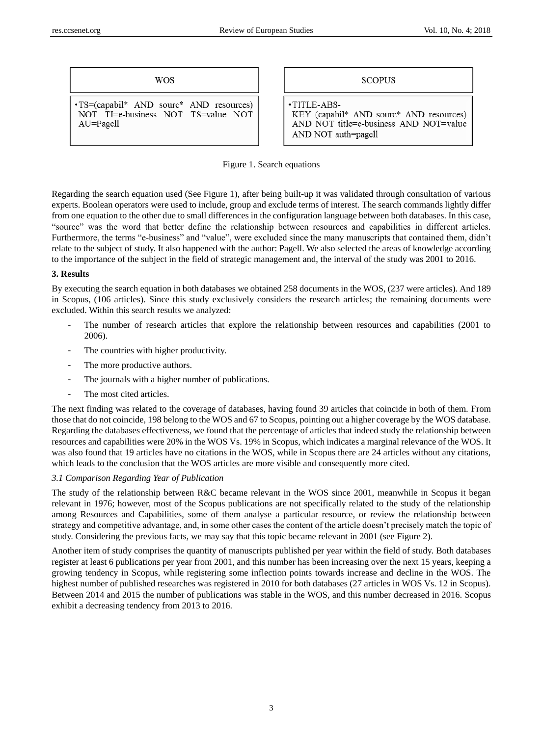\* AND resources) AND NOT=value

| <b>WOS</b>                                                                                      | <b>SCOPUS</b>                                                                                    |
|-------------------------------------------------------------------------------------------------|--------------------------------------------------------------------------------------------------|
| •TS=(capabil* AND sourc* AND resources)<br>NOT TI=e-business NOT TS=value NOT<br>$AU = Pa$ gell | $\cdot$ TITLE-ABS-<br>KEY (capabil* AND sourc<br>AND NOT title=e-business<br>AND NOT auth=pagell |

Figure 1. Search equations

Regarding the search equation used (See Figure 1), after being built-up it was validated through consultation of various experts. Boolean operators were used to include, group and exclude terms of interest. The search commands lightly differ from one equation to the other due to small differences in the configuration language between both databases. In this case, "source" was the word that better define the relationship between resources and capabilities in different articles. Furthermore, the terms "e-business" and "value", were excluded since the many manuscripts that contained them, didn't relate to the subject of study. It also happened with the author: Pagell. We also selected the areas of knowledge according to the importance of the subject in the field of strategic management and, the interval of the study was 2001 to 2016.

## **3. Results**

By executing the search equation in both databases we obtained 258 documents in the WOS, (237 were articles). And 189 in Scopus, (106 articles). Since this study exclusively considers the research articles; the remaining documents were excluded. Within this search results we analyzed:

- The number of research articles that explore the relationship between resources and capabilities (2001 to 2006).
- The countries with higher productivity.
- The more productive authors.
- The journals with a higher number of publications.
- The most cited articles.

The next finding was related to the coverage of databases, having found 39 articles that coincide in both of them. From those that do not coincide, 198 belong to the WOS and 67 to Scopus, pointing out a higher coverage by the WOS database. Regarding the databases effectiveness, we found that the percentage of articles that indeed study the relationship between resources and capabilities were 20% in the WOS Vs. 19% in Scopus, which indicates a marginal relevance of the WOS. It was also found that 19 articles have no citations in the WOS, while in Scopus there are 24 articles without any citations, which leads to the conclusion that the WOS articles are more visible and consequently more cited.

## *3.1 Comparison Regarding Year of Publication*

The study of the relationship between R&C became relevant in the WOS since 2001, meanwhile in Scopus it began relevant in 1976; however, most of the Scopus publications are not specifically related to the study of the relationship among Resources and Capabilities, some of them analyse a particular resource, or review the relationship between strategy and competitive advantage, and, in some other cases the content of the article doesn't precisely match the topic of study. Considering the previous facts, we may say that this topic became relevant in 2001 (see Figure 2).

Another item of study comprises the quantity of manuscripts published per year within the field of study. Both databases register at least 6 publications per year from 2001, and this number has been increasing over the next 15 years, keeping a growing tendency in Scopus, while registering some inflection points towards increase and decline in the WOS. The highest number of published researches was registered in 2010 for both databases (27 articles in WOS Vs. 12 in Scopus). Between 2014 and 2015 the number of publications was stable in the WOS, and this number decreased in 2016. Scopus exhibit a decreasing tendency from 2013 to 2016.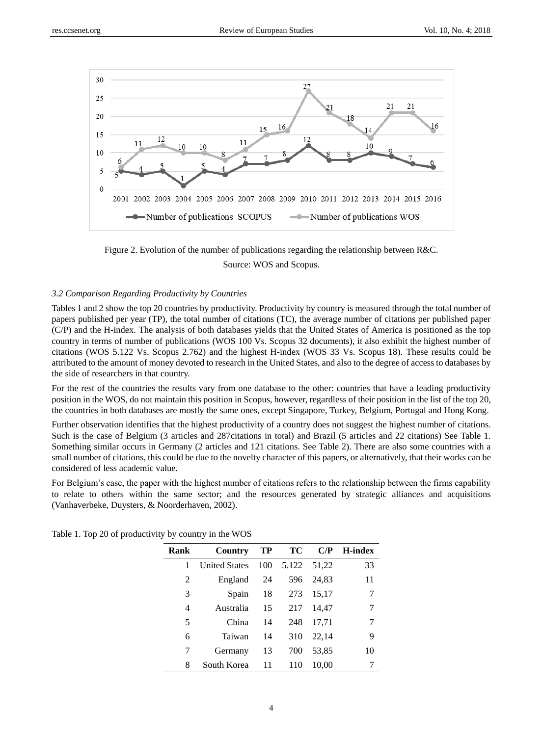

Figure 2. Evolution of the number of publications regarding the relationship between R&C. Source: WOS and Scopus.

#### *3.2 Comparison Regarding Productivity by Countries*

Tables 1 and 2 show the top 20 countries by productivity. Productivity by country is measured through the total number of papers published per year (TP), the total number of citations (TC), the average number of citations per published paper (C/P) and the H-index. The analysis of both databases yields that the United States of America is positioned as the top country in terms of number of publications (WOS 100 Vs. Scopus 32 documents), it also exhibit the highest number of citations (WOS 5.122 Vs. Scopus 2.762) and the highest H-index (WOS 33 Vs. Scopus 18). These results could be attributed to the amount of money devoted to research in the United States, and also to the degree of access to databases by the side of researchers in that country.

For the rest of the countries the results vary from one database to the other: countries that have a leading productivity position in the WOS, do not maintain this position in Scopus, however, regardless of their position in the list of the top 20, the countries in both databases are mostly the same ones, except Singapore, Turkey, Belgium, Portugal and Hong Kong.

Further observation identifies that the highest productivity of a country does not suggest the highest number of citations. Such is the case of Belgium (3 articles and 287citations in total) and Brazil (5 articles and 22 citations) See Table 1. Something similar occurs in Germany (2 articles and 121 citations. See Table 2). There are also some countries with a small number of citations, this could be due to the novelty character of this papers, or alternatively, that their works can be considered of less academic value.

For Belgium's case, the paper with the highest number of citations refers to the relationship between the firms capability to relate to others within the same sector; and the resources generated by strategic alliances and acquisitions (Vanhaverbeke, Duysters, & Noorderhaven, 2002).

| Rank | Country              | TP  | ТC    | C/P   | <b>H-index</b> |
|------|----------------------|-----|-------|-------|----------------|
| 1    | <b>United States</b> | 100 | 5.122 | 51,22 | 33             |
| 2    | England              | 24  | 596   | 24,83 | 11             |
| 3    | Spain                | 18  | 273   | 15,17 |                |
| 4    | Australia            | 15  | 217   | 14,47 | 7              |
| 5    | China                | 14  | 248   | 17.71 | 7              |
| 6    | Taiwan               | 14  | 310   | 22,14 | 9              |
| 7    | Germany              | 13  | 700   | 53,85 | 10             |
| 8    | South Korea          | 11  | 110   | 10.00 |                |

Table 1. Top 20 of productivity by country in the WOS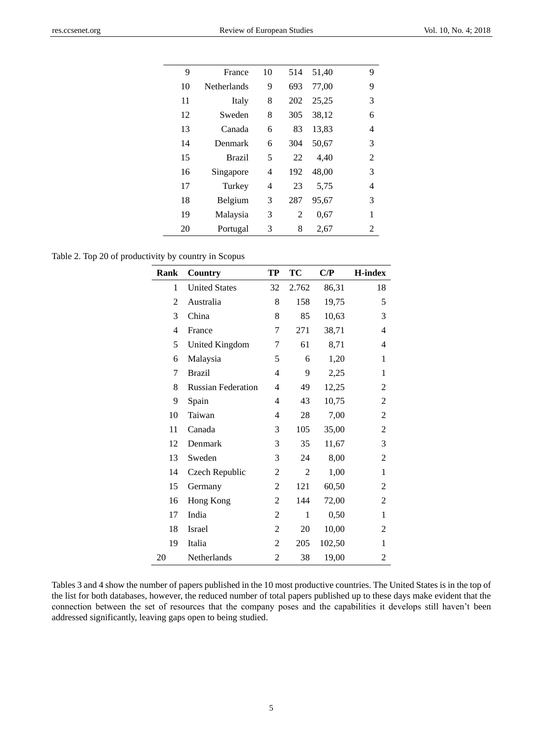| 9  | France             | 10 | 514 | 51,40 | 9              |
|----|--------------------|----|-----|-------|----------------|
| 10 | <b>Netherlands</b> | 9  | 693 | 77,00 | 9              |
| 11 | Italy              | 8  | 202 | 25,25 | 3              |
| 12 | Sweden             | 8  | 305 | 38,12 | 6              |
| 13 | Canada             | 6  | 83  | 13,83 | 4              |
| 14 | Denmark            | 6  | 304 | 50,67 | 3              |
| 15 | Brazil             | 5  | 22  | 4,40  | 2              |
| 16 | Singapore          | 4  | 192 | 48,00 | 3              |
| 17 | Turkey             | 4  | 23  | 5.75  | 4              |
| 18 | Belgium            | 3  | 287 | 95,67 | 3              |
| 19 | Malaysia           | 3  | 2   | 0.67  | 1              |
| 20 | Portugal           | 3  | 8   | 2,67  | $\mathfrak{D}$ |

Table 2. Top 20 of productivity by country in Scopus

| Rank           | Country                   | TP             | TC             | C/P    | <b>H-index</b> |
|----------------|---------------------------|----------------|----------------|--------|----------------|
| 1              | <b>United States</b>      | 32             | 2.762          | 86,31  | 18             |
| 2              | Australia                 | 8              | 158            | 19,75  | 5              |
| 3              | China                     | 8              | 85             | 10,63  | 3              |
| $\overline{4}$ | France                    | 7              | 271            | 38,71  | 4              |
| 5              | <b>United Kingdom</b>     | 7              | 61             | 8,71   | 4              |
| 6              | Malaysia                  | 5              | 6              | 1,20   | 1              |
| 7              | <b>Brazil</b>             | $\overline{4}$ | 9              | 2,25   | 1              |
| 8              | <b>Russian Federation</b> | 4              | 49             | 12,25  | 2              |
| 9              | Spain                     | 4              | 43             | 10,75  | 2              |
| 10             | Taiwan                    | 4              | $28\,$         | 7,00   | $\overline{2}$ |
| 11             | Canada                    | 3              | 105            | 35,00  | 2              |
| 12             | Denmark                   | 3              | 35             | 11,67  | 3              |
| 13             | Sweden                    | 3              | 24             | 8,00   | 2              |
| 14             | Czech Republic            | $\overline{2}$ | $\overline{2}$ | 1,00   | $\mathbf{1}$   |
| 15             | Germany                   | 2              | 121            | 60,50  | 2              |
| 16             | Hong Kong                 | 2              | 144            | 72,00  | 2              |
| 17             | India                     | 2              | $\mathbf{1}$   | 0,50   | 1              |
| 18             | Israel                    | 2              | 20             | 10,00  | 2              |
| 19             | Italia                    | 2              | 205            | 102,50 | 1              |
| 20             | Netherlands               | 2              | 38             | 19,00  | 2              |

Tables 3 and 4 show the number of papers published in the 10 most productive countries. The United States is in the top of the list for both databases, however, the reduced number of total papers published up to these days make evident that the connection between the set of resources that the company poses and the capabilities it develops still haven't been addressed significantly, leaving gaps open to being studied.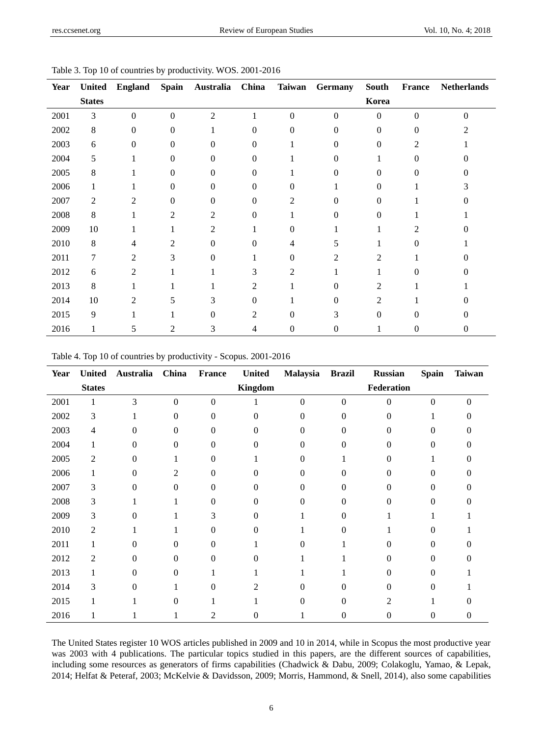| <b>Year</b> | <b>United</b> | <b>England</b> | <b>Spain</b>   | Australia      | China          | <b>Taiwan</b>  | Germany  | <b>South</b>   | France         | <b>Netherlands</b> |
|-------------|---------------|----------------|----------------|----------------|----------------|----------------|----------|----------------|----------------|--------------------|
|             | <b>States</b> |                |                |                |                |                |          | Korea          |                |                    |
| 2001        | 3             | $\theta$       | $\theta$       | $\overline{2}$ | 1              | $\mathbf{0}$   | $\theta$ | $\theta$       | $\theta$       | $\Omega$           |
| 2002        | 8             | 0              | $\Omega$       |                | 0              | $\Omega$       | 0        | 0              | $\Omega$       |                    |
| 2003        | 6             | 0              | $\Omega$       | 0              | 0              |                | 0        | 0              | $\overline{c}$ |                    |
| 2004        | 5             |                | $\Omega$       | $\Omega$       | $\Omega$       |                | 0        |                | $\Omega$       |                    |
| 2005        | 8             |                | $\theta$       | $\Omega$       | $\Omega$       |                | 0        | 0              | $\theta$       |                    |
| 2006        |               |                | $\Omega$       | $\Omega$       | $\Omega$       | 0              |          | 0              |                |                    |
| 2007        | 2             | $\mathfrak{D}$ | 0              | $\theta$       | $\Omega$       | 2              | 0        | 0              |                |                    |
| 2008        | 8             |                | $\mathfrak{D}$ | 2              | 0              |                | 0        | 0              |                |                    |
| 2009        | 10            |                |                | $\overline{c}$ |                | 0              |          |                | $\mathfrak{D}$ |                    |
| 2010        | 8             |                |                | 0              | $\Omega$       |                | 7        |                | 0              |                    |
| 2011        | 7             | 2              | 3              | $\theta$       |                | 0              | 2        | 2              |                |                    |
| 2012        | 6             | 2              |                |                | 3              | $\overline{c}$ |          |                | $\Omega$       |                    |
| 2013        | 8             |                |                |                | 2              |                | 0        | $\overline{c}$ |                |                    |
| 2014        | 10            | $\overline{c}$ | 5              | 3              | 0              |                | 0        | 2              |                |                    |
| 2015        | 9             |                |                | $\Omega$       | $\overline{2}$ | 0              | 3        | $\theta$       | 0              |                    |
| 2016        | 1             | 5              | 2              | 3              | 4              | 0              | 0        |                | 0              |                    |

Table 3. Top 10 of countries by productivity. WOS. 2001-2016

| Table 4. Top 10 of countries by productivity - Scopus. 2001-2016 |  |  |
|------------------------------------------------------------------|--|--|
|                                                                  |  |  |

| <b>Year</b> | <b>United</b>  | Australia | China        | France           | <b>United</b> | Malaysia       | <b>Brazil</b>    | <b>Russian</b> | <b>Spain</b> | <b>Taiwan</b> |
|-------------|----------------|-----------|--------------|------------------|---------------|----------------|------------------|----------------|--------------|---------------|
|             | <b>States</b>  |           |              |                  | Kingdom       |                |                  | Federation     |              |               |
| 2001        | 1              | 3         | $\mathbf{0}$ | $\boldsymbol{0}$ |               | $\overline{0}$ | $\boldsymbol{0}$ | $\theta$       | $\theta$     | $\Omega$      |
| 2002        | $\mathfrak{Z}$ |           | 0            | 0                | $\Omega$      | 0              | 0                | 0              |              | 0             |
| 2003        | $\overline{4}$ | O         | 0            | 0                | $\Omega$      | 0              | 0                | 0              | 0            | 0             |
| 2004        |                | 0         | 0            | 0                | $\Omega$      | 0              | 0                | 0              | 0            | 0             |
| 2005        | 2              | 0         |              | 0                |               | 0              |                  | 0              |              | 0             |
| 2006        |                | 0         | 2            | 0                | 0             | 0              | 0                | 0              | 0            | 0             |
| 2007        | 3              | 0         | 0            | 0                | $\Omega$      | 0              | 0                | 0              | 0            |               |
| 2008        | 3              |           |              | 0                | 0             | 0              | 0                | 0              | 0            |               |
| 2009        | 3              | 0         |              | 3                | 0             |                | 0                |                |              |               |
| 2010        | 2              |           |              | 0                | 0             |                | 0                |                | 0            |               |
| 2011        |                | 0         | 0            | 0                |               | 0              |                  | 0              | 0            |               |
| 2012        | 2              | 0         | 0            | 0                | 0             |                |                  | 0              | 0            |               |
| 2013        |                | 0         | 0            |                  |               |                |                  | 0              | 0            |               |
| 2014        | 3              | 0         |              | 0                | 2             | 0              |                  | 0              | 0            |               |
| 2015        |                |           | 0            |                  |               | 0              | 0                | 2              |              |               |
| 2016        |                |           |              | 2                | 0             |                | 0                | 0              | 0            | 0             |

The United States register 10 WOS articles published in 2009 and 10 in 2014, while in Scopus the most productive year was 2003 with 4 publications. The particular topics studied in this papers, are the different sources of capabilities, including some resources as generators of firms capabilities (Chadwick & Dabu, 2009; Colakoglu, Yamao, & Lepak, 2014; Helfat & Peteraf, 2003; McKelvie & Davidsson, 2009; Morris, Hammond, & Snell, 2014), also some capabilities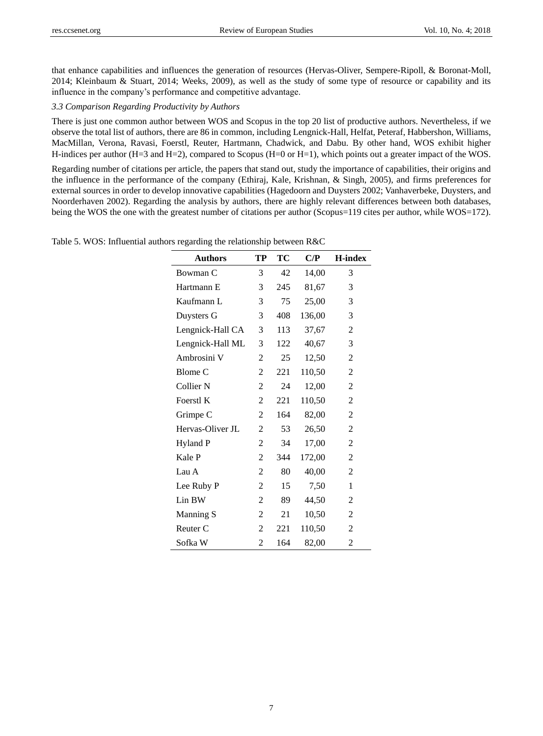that enhance capabilities and influences the generation of resources (Hervas-Oliver, Sempere-Ripoll, & Boronat-Moll, 2014; Kleinbaum & Stuart, 2014; Weeks, 2009), as well as the study of some type of resource or capability and its influence in the company's performance and competitive advantage.

#### *3.3 Comparison Regarding Productivity by Authors*

There is just one common author between WOS and Scopus in the top 20 list of productive authors. Nevertheless, if we observe the total list of authors, there are 86 in common, including Lengnick-Hall, Helfat, Peteraf, Habbershon, Williams, MacMillan, Verona, Ravasi, Foerstl, Reuter, Hartmann, Chadwick, and Dabu. By other hand, WOS exhibit higher H-indices per author (H=3 and H=2), compared to Scopus (H=0 or H=1), which points out a greater impact of the WOS.

Regarding number of citations per article, the papers that stand out, study the importance of capabilities, their origins and the influence in the performance of the company (Ethiraj, Kale, Krishnan, & Singh, 2005), and firms preferences for external sources in order to develop innovative capabilities (Hagedoorn and Duysters 2002; Vanhaverbeke, Duysters, and Noorderhaven 2002). Regarding the analysis by authors, there are highly relevant differences between both databases, being the WOS the one with the greatest number of citations per author (Scopus=119 cites per author, while WOS=172).

| <b>Authors</b>       | TP | TC  | C/P    | <b>H-index</b> |
|----------------------|----|-----|--------|----------------|
| Bowman C             | 3  | 42  | 14,00  | 3              |
| Hartmann E           | 3  | 245 | 81,67  | 3              |
| Kaufmann L           | 3  | 75  | 25,00  | 3              |
| Duysters G           | 3  | 408 | 136,00 | 3              |
| Lengnick-Hall CA     | 3  | 113 | 37,67  | 2              |
| Lengnick-Hall ML     | 3  | 122 | 40,67  | 3              |
| Ambrosini V          | 2  | 25  | 12,50  | $\overline{2}$ |
| <b>Blome C</b>       | 2  | 221 | 110,50 | $\overline{2}$ |
| Collier <sub>N</sub> | 2  | 24  | 12,00  | 2              |
| Foerstl K            | 2  | 221 | 110,50 | 2              |
| Grimpe C             | 2  | 164 | 82,00  | 2              |
| Hervas-Oliver JL     | 2  | 53  | 26,50  | 2              |
| Hyland P             | 2  | 34  | 17,00  | $\overline{2}$ |
| Kale P               | 2  | 344 | 172,00 | 2              |
| Lau A                | 2  | 80  | 40,00  | 2              |
| Lee Ruby P           | 2  | 15  | 7,50   | 1              |
| Lin BW               | 2  | 89  | 44,50  | $\overline{2}$ |
| Manning S            | 2  | 21  | 10,50  | $\overline{2}$ |
| Reuter <sub>C</sub>  | 2  | 221 | 110,50 | 2              |
| Sofka W              | 2  | 164 | 82,00  | 2              |

Table 5. WOS: Influential authors regarding the relationship between R&C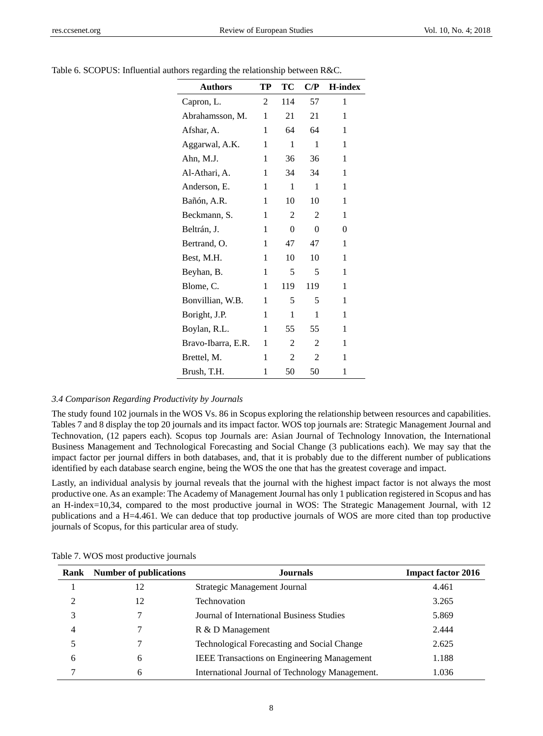| <b>Authors</b>     | TP | ТC             | $\mathbf{C}/\mathbf{P}$ | <b>H-index</b> |
|--------------------|----|----------------|-------------------------|----------------|
| Capron, L.         | 2  | 114            | 57                      | 1              |
| Abrahamsson, M.    | 1  | 21             | 21                      | 1              |
| Afshar, A.         | 1  | 64             | 64                      | 1              |
| Aggarwal, A.K.     | 1  | 1              | 1                       | 1              |
| Ahn, M.J.          | 1  | 36             | 36                      | 1              |
| Al-Athari, A.      | 1  | 34             | 34                      | 1              |
| Anderson, E.       | 1  | 1              | 1                       | 1              |
| Bañón, A.R.        | 1  | 10             | 10                      | 1              |
| Beckmann, S.       | 1  | 2              | 2                       | 1              |
| Beltrán, J.        | 1  | 0              | 0                       | 0              |
| Bertrand, O.       | 1  | 47             | 47                      | 1              |
| Best, M.H.         | 1  | 10             | 10                      | 1              |
| Beyhan, B.         | 1  | 5              | 5                       | 1              |
| Blome, C.          | 1  | 119            | 119                     | 1              |
| Bonvillian, W.B.   | 1  | 5              | 5                       | 1              |
| Boright, J.P.      | 1  | 1              | 1                       | 1              |
| Boylan, R.L.       | 1  | 55             | 55                      | 1              |
| Bravo-Ibarra, E.R. | 1  | 2              | 2                       | 1              |
| Brettel, M.        | 1  | $\overline{c}$ | 2                       | 1              |
| Brush, T.H.        | 1  | 50             | 50                      | 1              |

Table 6. SCOPUS: Influential authors regarding the relationship between R&C.

#### *3.4 Comparison Regarding Productivity by Journals*

The study found 102 journals in the WOS Vs. 86 in Scopus exploring the relationship between resources and capabilities. Tables 7 and 8 display the top 20 journals and its impact factor. WOS top journals are: Strategic Management Journal and Technovation, (12 papers each). Scopus top Journals are: Asian Journal of Technology Innovation, the International Business Management and Technological Forecasting and Social Change (3 publications each). We may say that the impact factor per journal differs in both databases, and, that it is probably due to the different number of publications identified by each database search engine, being the WOS the one that has the greatest coverage and impact.

Lastly, an individual analysis by journal reveals that the journal with the highest impact factor is not always the most productive one. As an example: The Academy of Management Journal has only 1 publication registered in Scopus and has an H-index=10,34, compared to the most productive journal in WOS: The Strategic Management Journal, with 12 publications and a H=4.461. We can deduce that top productive journals of WOS are more cited than top productive journals of Scopus, for this particular area of study.

|   | <b>Rank</b> Number of publications | <b>Journals</b>                                    | <b>Impact factor 2016</b> |
|---|------------------------------------|----------------------------------------------------|---------------------------|
|   | 12                                 | Strategic Management Journal                       | 4.461                     |
| C | 12                                 | <b>Technovation</b>                                | 3.265                     |
| 3 |                                    | Journal of International Business Studies          | 5.869                     |
| 4 |                                    | R & D Management                                   | 2.444                     |
|   |                                    | <b>Technological Forecasting and Social Change</b> | 2.625                     |
| 6 | 6                                  | <b>IEEE Transactions on Engineering Management</b> | 1.188                     |
|   | 6                                  | International Journal of Technology Management.    | 1.036                     |

Table 7. WOS most productive journals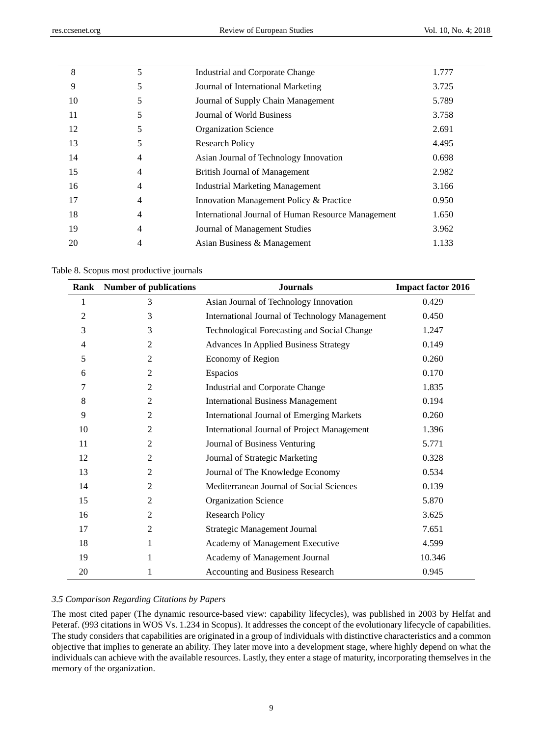| 8  | 5 | Industrial and Corporate Change                    | 1.777 |
|----|---|----------------------------------------------------|-------|
| 9  | 5 | Journal of International Marketing                 | 3.725 |
| 10 | 5 | Journal of Supply Chain Management                 | 5.789 |
| 11 | 5 | Journal of World Business                          | 3.758 |
| 12 | 5 | <b>Organization Science</b>                        | 2.691 |
| 13 | 5 | <b>Research Policy</b>                             | 4.495 |
| 14 | 4 | Asian Journal of Technology Innovation             | 0.698 |
| 15 | 4 | <b>British Journal of Management</b>               | 2.982 |
| 16 | 4 | <b>Industrial Marketing Management</b>             | 3.166 |
| 17 | 4 | Innovation Management Policy & Practice            | 0.950 |
| 18 | 4 | International Journal of Human Resource Management | 1.650 |
| 19 | 4 | Journal of Management Studies                      | 3.962 |
| 20 | 4 | Asian Business & Management                        | 1.133 |

Table 8. Scopus most productive journals

| <b>Rank</b> | <b>Number of publications</b> | <b>Journals</b>                                  | <b>Impact factor 2016</b> |
|-------------|-------------------------------|--------------------------------------------------|---------------------------|
| 1           | 3                             | Asian Journal of Technology Innovation           | 0.429                     |
| 2           | 3                             | International Journal of Technology Management   | 0.450                     |
| 3           | 3                             | Technological Forecasting and Social Change      | 1.247                     |
| 4           | 2                             | <b>Advances In Applied Business Strategy</b>     | 0.149                     |
| 5           | $\overline{c}$                | Economy of Region                                | 0.260                     |
| 6           | $\overline{2}$                | Espacios                                         | 0.170                     |
| 7           | $\overline{2}$                | Industrial and Corporate Change                  | 1.835                     |
| 8           | $\overline{2}$                | <b>International Business Management</b>         | 0.194                     |
| 9           | $\overline{2}$                | <b>International Journal of Emerging Markets</b> | 0.260                     |
| 10          | $\overline{2}$                | International Journal of Project Management      | 1.396                     |
| 11          | 2                             | Journal of Business Venturing                    | 5.771                     |
| 12          | $\overline{c}$                | Journal of Strategic Marketing                   | 0.328                     |
| 13          | $\overline{2}$                | Journal of The Knowledge Economy                 | 0.534                     |
| 14          | $\overline{c}$                | Mediterranean Journal of Social Sciences         | 0.139                     |
| 15          | 2                             | Organization Science                             | 5.870                     |
| 16          | $\overline{2}$                | <b>Research Policy</b>                           | 3.625                     |
| 17          | $\overline{2}$                | Strategic Management Journal                     | 7.651                     |
| 18          | 1                             | Academy of Management Executive                  | 4.599                     |
| 19          | 1                             | Academy of Management Journal                    | 10.346                    |
| 20          | 1                             | <b>Accounting and Business Research</b>          | 0.945                     |

# *3.5 Comparison Regarding Citations by Papers*

The most cited paper (The dynamic resource-based view: capability lifecycles), was published in 2003 by Helfat and Peteraf. (993 citations in WOS Vs. 1.234 in Scopus). It addresses the concept of the evolutionary lifecycle of capabilities. The study considers that capabilities are originated in a group of individuals with distinctive characteristics and a common objective that implies to generate an ability. They later move into a development stage, where highly depend on what the individuals can achieve with the available resources. Lastly, they enter a stage of maturity, incorporating themselves in the memory of the organization.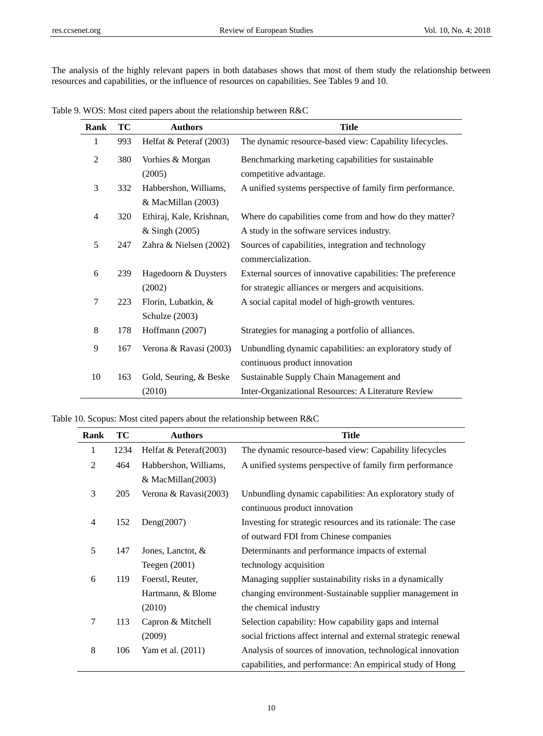The analysis of the highly relevant papers in both databases shows that most of them study the relationship between resources and capabilities, or the influence of resources on capabilities. See Tables 9 and 10.

Table 9. WOS: Most cited papers about the relationship between R&C

| Rank           | TС  | <b>Authors</b>                               | <b>Title</b>                                                                                                        |
|----------------|-----|----------------------------------------------|---------------------------------------------------------------------------------------------------------------------|
| 1              | 993 | Helfat & Peteraf (2003)                      | The dynamic resource-based view: Capability lifecycles.                                                             |
| $\mathfrak{2}$ | 380 | Vorhies & Morgan<br>(2005)                   | Benchmarking marketing capabilities for sustainable<br>competitive advantage.                                       |
| 3              | 332 | Habbershon, Williams,<br>& MacMillan (2003)  | A unified systems perspective of family firm performance.                                                           |
| $\overline{4}$ | 320 | Ethiraj, Kale, Krishnan,<br>$&$ Singh (2005) | Where do capabilities come from and how do they matter?<br>A study in the software services industry.               |
| 5              | 247 | Zahra & Nielsen (2002)                       | Sources of capabilities, integration and technology<br>commercialization.                                           |
| 6              | 239 | Hagedoorn & Duysters<br>(2002)               | External sources of innovative capabilities: The preference<br>for strategic alliances or mergers and acquisitions. |
| 7              | 223 | Florin, Lubatkin, &<br>Schulze (2003)        | A social capital model of high-growth ventures.                                                                     |
| $\,8\,$        | 178 | Hoffmann (2007)                              | Strategies for managing a portfolio of alliances.                                                                   |
| 9              | 167 | Verona & Ravasi (2003)                       | Unbundling dynamic capabilities: an exploratory study of<br>continuous product innovation                           |
| 10             | 163 | Gold, Seuring, & Beske<br>(2010)             | Sustainable Supply Chain Management and<br>Inter-Organizational Resources: A Literature Review                      |

|  |  | Table 10. Scopus: Most cited papers about the relationship between R&C |  |
|--|--|------------------------------------------------------------------------|--|
|  |  |                                                                        |  |

| Rank           | TC   | <b>Authors</b>            | <b>Title</b>                                                    |
|----------------|------|---------------------------|-----------------------------------------------------------------|
| 1              | 1234 | Helfat & Peteraf $(2003)$ | The dynamic resource-based view: Capability lifecycles          |
| $\overline{2}$ | 464  | Habbershon, Williams,     | A unified systems perspective of family firm performance        |
|                |      | & MacMillan(2003)         |                                                                 |
| 3              | 205  | Verona & Ravasi(2003)     | Unbundling dynamic capabilities: An exploratory study of        |
|                |      |                           | continuous product innovation                                   |
| $\overline{4}$ | 152  | Deng $(2007)$             | Investing for strategic resources and its rationale: The case   |
|                |      |                           | of outward FDI from Chinese companies                           |
| 5              | 147  | Jones, Lanctot, $\&$      | Determinants and performance impacts of external                |
|                |      | Teegen $(2001)$           | technology acquisition                                          |
| 6              | 119  | Foerstl, Reuter,          | Managing supplier sustainability risks in a dynamically         |
|                |      | Hartmann, & Blome         | changing environment-Sustainable supplier management in         |
|                |      | (2010)                    | the chemical industry                                           |
| 7              | 113  | Capron & Mitchell         | Selection capability: How capability gaps and internal          |
|                |      | (2009)                    | social frictions affect internal and external strategic renewal |
| 8              | 106  | Yam et al. (2011)         | Analysis of sources of innovation, technological innovation     |
|                |      |                           | capabilities, and performance: An empirical study of Hong       |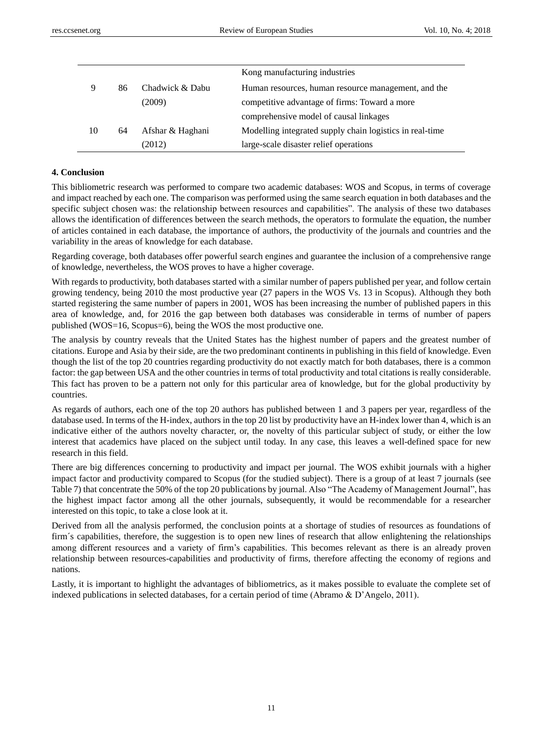|    |    |                  | Kong manufacturing industries                            |
|----|----|------------------|----------------------------------------------------------|
| 9  | 86 | Chadwick & Dabu  | Human resources, human resource management, and the      |
|    |    | (2009)           | competitive advantage of firms: Toward a more            |
|    |    |                  | comprehensive model of causal linkages                   |
| 10 | 64 | Afshar & Haghani | Modelling integrated supply chain logistics in real-time |
|    |    | (2012)           | large-scale disaster relief operations                   |

#### **4. Conclusion**

This bibliometric research was performed to compare two academic databases: WOS and Scopus, in terms of coverage and impact reached by each one. The comparison was performed using the same search equation in both databases and the specific subject chosen was: the relationship between resources and capabilities". The analysis of these two databases allows the identification of differences between the search methods, the operators to formulate the equation, the number of articles contained in each database, the importance of authors, the productivity of the journals and countries and the variability in the areas of knowledge for each database.

Regarding coverage, both databases offer powerful search engines and guarantee the inclusion of a comprehensive range of knowledge, nevertheless, the WOS proves to have a higher coverage.

With regards to productivity, both databases started with a similar number of papers published per year, and follow certain growing tendency, being 2010 the most productive year (27 papers in the WOS Vs. 13 in Scopus). Although they both started registering the same number of papers in 2001, WOS has been increasing the number of published papers in this area of knowledge, and, for 2016 the gap between both databases was considerable in terms of number of papers published (WOS=16, Scopus=6), being the WOS the most productive one.

The analysis by country reveals that the United States has the highest number of papers and the greatest number of citations. Europe and Asia by their side, are the two predominant continents in publishing in this field of knowledge. Even though the list of the top 20 countries regarding productivity do not exactly match for both databases, there is a common factor: the gap between USA and the other countries in terms of total productivity and total citations is really considerable. This fact has proven to be a pattern not only for this particular area of knowledge, but for the global productivity by countries.

As regards of authors, each one of the top 20 authors has published between 1 and 3 papers per year, regardless of the database used. In terms of the H-index, authors in the top 20 list by productivity have an H-index lower than 4, which is an indicative either of the authors novelty character, or, the novelty of this particular subject of study, or either the low interest that academics have placed on the subject until today. In any case, this leaves a well-defined space for new research in this field.

There are big differences concerning to productivity and impact per journal. The WOS exhibit journals with a higher impact factor and productivity compared to Scopus (for the studied subject). There is a group of at least 7 journals (see Table 7) that concentrate the 50% of the top 20 publications by journal. Also "The Academy of Management Journal", has the highest impact factor among all the other journals, subsequently, it would be recommendable for a researcher interested on this topic, to take a close look at it.

Derived from all the analysis performed, the conclusion points at a shortage of studies of resources as foundations of firm´s capabilities, therefore, the suggestion is to open new lines of research that allow enlightening the relationships among different resources and a variety of firm's capabilities. This becomes relevant as there is an already proven relationship between resources-capabilities and productivity of firms, therefore affecting the economy of regions and nations.

Lastly, it is important to highlight the advantages of bibliometrics, as it makes possible to evaluate the complete set of indexed publications in selected databases, for a certain period of time (Abramo & D'Angelo, 2011).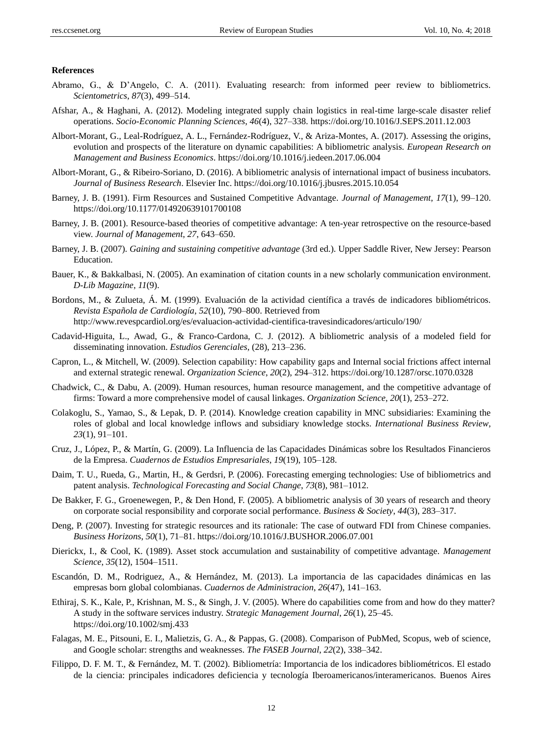#### **References**

- Abramo, G., & D'Angelo, C. A. (2011). Evaluating research: from informed peer review to bibliometrics. *Scientometrics*, *87*(3), 499–514.
- Afshar, A., & Haghani, A. (2012). Modeling integrated supply chain logistics in real-time large-scale disaster relief operations. *Socio-Economic Planning Sciences*, *46*(4), 327–338. https://doi.org/10.1016/J.SEPS.2011.12.003
- Albort-Morant, G., Leal-Rodr guez, A. L., Fern ández-Rodr guez, V., & Ariza-Montes, A. (2017). Assessing the origins, evolution and prospects of the literature on dynamic capabilities: A bibliometric analysis. *European Research on Management and Business Economics*. https://doi.org/10.1016/j.iedeen.2017.06.004
- Albort-Morant, G., & Ribeiro-Soriano, D. (2016). A bibliometric analysis of international impact of business incubators. *Journal of Business Research*. Elsevier Inc. https://doi.org/10.1016/j.jbusres.2015.10.054
- Barney, J. B. (1991). Firm Resources and Sustained Competitive Advantage. *Journal of Management*, *17*(1), 99–120. https://doi.org/10.1177/014920639101700108
- Barney, J. B. (2001). Resource-based theories of competitive advantage: A ten-year retrospective on the resource-based view. *Journal of Management*, *27*, 643–650.
- Barney, J. B. (2007). *Gaining and sustaining competitive advantage* (3rd ed.). Upper Saddle River, New Jersey: Pearson Education.
- Bauer, K., & Bakkalbasi, N. (2005). An examination of citation counts in a new scholarly communication environment. *D-Lib Magazine*, *11*(9).
- Bordons, M., & Zulueta, Á. M. (1999). Evaluación de la actividad científica a través de indicadores bibliométricos. *Revista Española de Cardiología*, *52*(10), 790–800. Retrieved from http://www.revespcardiol.org/es/evaluacion-actividad-cientifica-travesindicadores/articulo/190/
- Cadavid-Higuita, L., Awad, G., & Franco-Cardona, C. J. (2012). A bibliometric analysis of a modeled field for disseminating innovation. *Estudios Gerenciales*, (28), 213–236.
- Capron, L., & Mitchell, W. (2009). Selection capability: How capability gaps and Internal social frictions affect internal and external strategic renewal. *Organization Science*, *20*(2), 294–312. https://doi.org/10.1287/orsc.1070.0328
- Chadwick, C., & Dabu, A. (2009). Human resources, human resource management, and the competitive advantage of firms: Toward a more comprehensive model of causal linkages. *Organization Science*, *20*(1), 253–272.
- Colakoglu, S., Yamao, S., & Lepak, D. P. (2014). Knowledge creation capability in MNC subsidiaries: Examining the roles of global and local knowledge inflows and subsidiary knowledge stocks. *International Business Review*, *23*(1), 91–101.
- Cruz, J., López, P., & Martín, G. (2009). La Influencia de las Capacidades Dinámicas sobre los Resultados Financieros de la Empresa. *Cuadernos de Estudios Empresariales*, *19*(19), 105–128.
- Daim, T. U., Rueda, G., Martin, H., & Gerdsri, P. (2006). Forecasting emerging technologies: Use of bibliometrics and patent analysis. *Technological Forecasting and Social Change*, *73*(8), 981–1012.
- De Bakker, F. G., Groenewegen, P., & Den Hond, F. (2005). A bibliometric analysis of 30 years of research and theory on corporate social responsibility and corporate social performance. *Business & Society*, *44*(3), 283–317.
- Deng, P. (2007). Investing for strategic resources and its rationale: The case of outward FDI from Chinese companies. *Business Horizons*, *50*(1), 71–81. https://doi.org/10.1016/J.BUSHOR.2006.07.001
- Dierickx, I., & Cool, K. (1989). Asset stock accumulation and sustainability of competitive advantage. *Management Science*, *35*(12), 1504–1511.
- Escandón, D. M., Rodriguez, A., & Hernández, M. (2013). La importancia de las capacidades dinámicas en las empresas born global colombianas. *Cuadernos de Administracion*, *26*(47), 141–163.
- Ethiraj, S. K., Kale, P., Krishnan, M. S., & Singh, J. V. (2005). Where do capabilities come from and how do they matter? A study in the software services industry. *Strategic Management Journal*, *26*(1), 25–45. https://doi.org/10.1002/smj.433
- Falagas, M. E., Pitsouni, E. I., Malietzis, G. A., & Pappas, G. (2008). Comparison of PubMed, Scopus, web of science, and Google scholar: strengths and weaknesses. *The FASEB Journal*, *22*(2), 338–342.
- Filippo, D. F. M. T., & Fernández, M. T. (2002). Bibliometría: Importancia de los indicadores bibliométricos. El estado de la ciencia: principales indicadores deficiencia y tecnología Iberoamericanos/interamericanos. Buenos Aires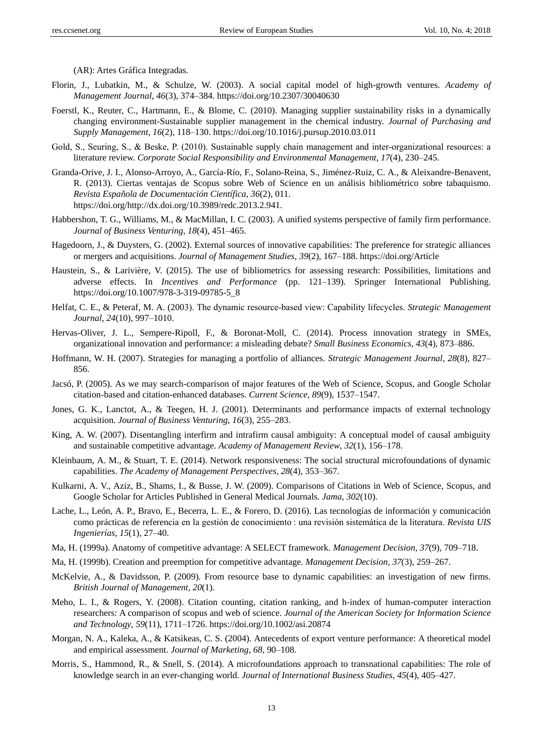(AR): Artes Gráfica Integradas.

- Florin, J., Lubatkin, M., & Schulze, W. (2003). A social capital model of high-growth ventures. *Academy of Management Journal*, *46*(3), 374–384. https://doi.org/10.2307/30040630
- Foerstl, K., Reuter, C., Hartmann, E., & Blome, C. (2010). Managing supplier sustainability risks in a dynamically changing environment-Sustainable supplier management in the chemical industry. *Journal of Purchasing and Supply Management*, *16*(2), 118–130. https://doi.org/10.1016/j.pursup.2010.03.011
- Gold, S., Seuring, S., & Beske, P. (2010). Sustainable supply chain management and inter-organizational resources: a literature review. *Corporate Social Responsibility and Environmental Management*, *17*(4), 230–245.
- Granda-Orive, J. I., Alonso-Arroyo, A., García-Río, F., Solano-Reina, S., Jiménez-Ruiz, C. A., & Aleixandre-Benavent, R. (2013). Ciertas ventajas de Scopus sobre Web of Science en un análisis bibliométrico sobre tabaquismo. *Revista Española de Documentación Científica*, *36*(2), 011. https://doi.org/http://dx.doi.org/10.3989/redc.2013.2.941.
- Habbershon, T. G., Williams, M., & MacMillan, I. C. (2003). A unified systems perspective of family firm performance. *Journal of Business Venturing*, *18*(4), 451–465.
- Hagedoorn, J., & Duysters, G. (2002). External sources of innovative capabilities: The preference for strategic alliances or mergers and acquisitions. *Journal of Management Studies*, *39*(2), 167–188. https://doi.org/Article
- Haustein, S., & Larivière, V. (2015). The use of bibliometrics for assessing research: Possibilities, limitations and adverse effects. In *Incentives and Performance* (pp. 121–139). Springer International Publishing. https://doi.org/10.1007/978-3-319-09785-5\_8
- Helfat, C. E., & Peteraf, M. A. (2003). The dynamic resource‐based view: Capability lifecycles. *Strategic Management Journal*, *24*(10), 997–1010.
- Hervas-Oliver, J. L., Sempere-Ripoll, F., & Boronat-Moll, C. (2014). Process innovation strategy in SMEs, organizational innovation and performance: a misleading debate? *Small Business Economics*, *43*(4), 873–886.
- Hoffmann, W. H. (2007). Strategies for managing a portfolio of alliances. *Strategic Management Journal*, *28*(8), 827– 856.
- Jacsó, P. (2005). As we may search-comparison of major features of the Web of Science, Scopus, and Google Scholar citation-based and citation-enhanced databases. *Current Science*, *89*(9), 1537–1547.
- Jones, G. K., Lanctot, A., & Teegen, H. J. (2001). Determinants and performance impacts of external technology acquisition. *Journal of Business Venturing*, *16*(3), 255–283.
- King, A. W. (2007). Disentangling interfirm and intrafirm causal ambiguity: A conceptual model of causal ambiguity and sustainable competitive advantage. *Academy of Management Review*, *32*(1), 156–178.
- Kleinbaum, A. M., & Stuart, T. E. (2014). Network responsiveness: The social structural microfoundations of dynamic capabilities. *The Academy of Management Perspectives*, *28*(4), 353–367.
- Kulkarni, A. V., Aziz, B., Shams, I., & Busse, J. W. (2009). Comparisons of Citations in Web of Science, Scopus, and Google Scholar for Articles Published in General Medical Journals. *Jama*, *302*(10).
- Lache, L., León, A. P., Bravo, E., Becerra, L. E., & Forero, D. (2016). Las tecnolog ás de información y comunicación como prácticas de referencia en la gestión de conocimiento : una revisión sistemática de la literatura. *Revista UIS Ingenier ús, 15(1), 27-40.*
- Ma, H. (1999a). Anatomy of competitive advantage: A SELECT framework. *Management Decision*, *37*(9), 709–718.
- Ma, H. (1999b). Creation and preemption for competitive advantage. *Management Decision*, *37*(3), 259–267.
- McKelvie, A., & Davidsson, P. (2009). From resource base to dynamic capabilities: an investigation of new firms. *British Journal of Management*, *20*(1).
- Meho, L. I., & Rogers, Y. (2008). Citation counting, citation ranking, and h-index of human-computer interaction researchers: A comparison of scopus and web of science. *Journal of the American Society for Information Science and Technology*, *59*(11), 1711–1726. https://doi.org/10.1002/asi.20874
- Morgan, N. A., Kaleka, A., & Katsikeas, C. S. (2004). Antecedents of export venture performance: A theoretical model and empirical assessment. *Journal of Marketing*, *68*, 90–108.
- Morris, S., Hammond, R., & Snell, S. (2014). A microfoundations approach to transnational capabilities: The role of knowledge search in an ever-changing world. *Journal of International Business Studies*, *45*(4), 405–427.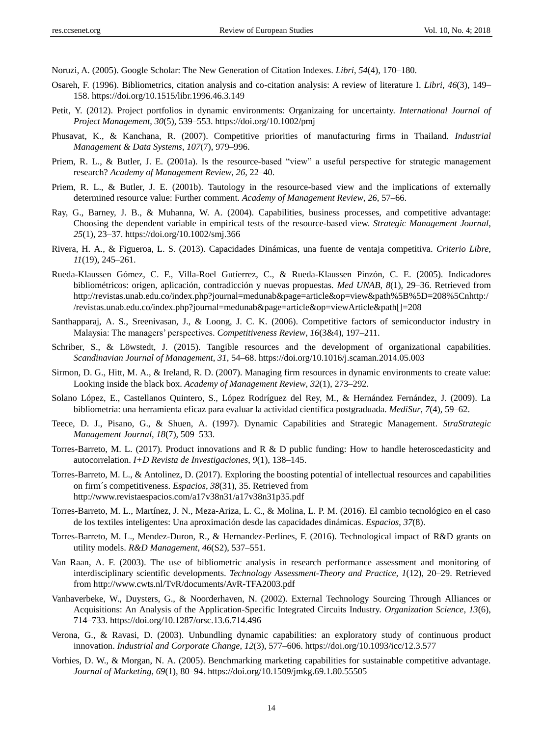Noruzi, A. (2005). Google Scholar: The New Generation of Citation Indexes. *Libri*, *54*(4), 170–180.

- Osareh, F. (1996). Bibliometrics, citation analysis and co-citation analysis: A review of literature I. *Libri*, *46*(3), 149– 158. https://doi.org/10.1515/libr.1996.46.3.149
- Petit, Y. (2012). Project portfolios in dynamic environments: Organizaing for uncertainty. *International Journal of Project Management*, *30*(5), 539–553. https://doi.org/10.1002/pmj
- Phusavat, K., & Kanchana, R. (2007). Competitive priorities of manufacturing firms in Thailand. *Industrial Management & Data Systems*, *107*(7), 979–996.
- Priem, R. L., & Butler, J. E. (2001a). Is the resource-based "view" a useful perspective for strategic management research? *Academy of Management Review*, *26*, 22–40.
- Priem, R. L., & Butler, J. E. (2001b). Tautology in the resource-based view and the implications of externally determined resource value: Further comment. *Academy of Management Review*, *26*, 57–66.
- Ray, G., Barney, J. B., & Muhanna, W. A. (2004). Capabilities, business processes, and competitive advantage: Choosing the dependent variable in empirical tests of the resource-based view. *Strategic Management Journal*, *25*(1), 23–37. https://doi.org/10.1002/smj.366
- Rivera, H. A., & Figueroa, L. S. (2013). Capacidades Dinámicas, una fuente de ventaja competitiva. *Criterio Libre*, *11*(19), 245–261.
- Rueda-Klaussen Gómez, C. F., Villa-Roel Gutíerrez, C., & Rueda-Klaussen Pinzón, C. E. (2005). Indicadores bibliométricos: origen, aplicación, contradicción y nuevas propuestas. *Med UNAB*, *8*(1), 29–36. Retrieved from http://revistas.unab.edu.co/index.php?journal=medunab&page=article&op=view&path%5B%5D=208%5Cnhttp:/ /revistas.unab.edu.co/index.php?journal=medunab&page=article&op=viewArticle&path[]=208
- Santhapparaj, A. S., Sreenivasan, J., & Loong, J. C. K. (2006). Competitive factors of semiconductor industry in Malaysia: The managers' perspectives. *Competitiveness Review*, *16*(3&4), 197–211.
- Schriber, S., & Löwstedt, J. (2015). Tangible resources and the development of organizational capabilities. *Scandinavian Journal of Management*, *31*, 54–68. https://doi.org/10.1016/j.scaman.2014.05.003
- Sirmon, D. G., Hitt, M. A., & Ireland, R. D. (2007). Managing firm resources in dynamic environments to create value: Looking inside the black box. *Academy of Management Review*, *32*(1), 273–292.
- Solano López, E., Castellanos Quintero, S., López Rodríguez del Rey, M., & Hernández Fernández, J. (2009). La bibliometría: una herramienta eficaz para evaluar la actividad científica postgraduada. *MediSur*, 7(4), 59–62.
- Teece, D. J., Pisano, G., & Shuen, A. (1997). Dynamic Capabilities and Strategic Management. *StraStrategic Management Journal*, *18*(7), 509–533.
- Torres-Barreto, M. L. (2017). Product innovations and R & D public funding: How to handle heteroscedasticity and autocorrelation. *I+D Revista de Investigaciones*, *9*(1), 138–145.
- Torres-Barreto, M. L., & Antolinez, D. (2017). Exploring the boosting potential of intellectual resources and capabilities on firm´s competitiveness. *Espacios*, *38*(31), 35. Retrieved from http://www.revistaespacios.com/a17v38n31/a17v38n31p35.pdf
- Torres-Barreto, M. L., Martínez, J. N., Meza-Ariza, L. C., & Molina, L. P. M. (2016). El cambio tecnológico en el caso de los textiles inteligentes: Una aproximación desde las capacidades dinámicas. *Espacios*, *37*(8).
- Torres-Barreto, M. L., Mendez-Duron, R., & Hernandez-Perlines, F. (2016). Technological impact of R&D grants on utility models. *R&D Management*, *46*(S2), 537–551.
- Van Raan, A. F. (2003). The use of bibliometric analysis in research performance assessment and monitoring of interdisciplinary scientific developments. *Technology Assessment-Theory and Practice*, *1*(12), 20–29. Retrieved from http://www.cwts.nl/TvR/documents/AvR-TFA2003.pdf
- Vanhaverbeke, W., Duysters, G., & Noorderhaven, N. (2002). External Technology Sourcing Through Alliances or Acquisitions: An Analysis of the Application-Specific Integrated Circuits Industry. *Organization Science*, *13*(6), 714–733. https://doi.org/10.1287/orsc.13.6.714.496
- Verona, G., & Ravasi, D. (2003). Unbundling dynamic capabilities: an exploratory study of continuous product innovation. *Industrial and Corporate Change*, *12*(3), 577–606. https://doi.org/10.1093/icc/12.3.577
- Vorhies, D. W., & Morgan, N. A. (2005). Benchmarking marketing capabilities for sustainable competitive advantage. *Journal of Marketing*, *69*(1), 80–94. https://doi.org/10.1509/jmkg.69.1.80.55505